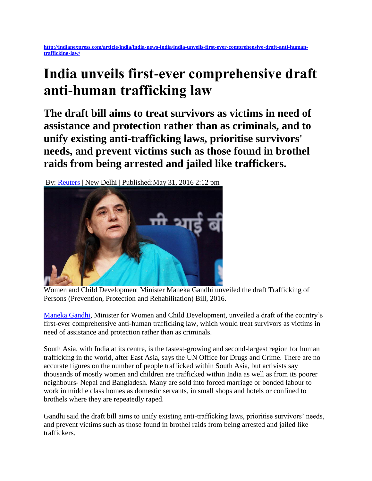**[http://indianexpress.com/article/india/india-news-india/india-unveils-first-ever-comprehensive-draft-anti-human](http://indianexpress.com/article/india/india-news-india/india-unveils-first-ever-comprehensive-draft-anti-human-trafficking-law/)[trafficking-law/](http://indianexpress.com/article/india/india-news-india/india-unveils-first-ever-comprehensive-draft-anti-human-trafficking-law/)**

## **India unveils first-ever comprehensive draft anti-human trafficking law**

**The draft bill aims to treat survivors as victims in need of assistance and protection rather than as criminals, and to unify existing anti-trafficking laws, prioritise survivors' needs, and prevent victims such as those found in brothel raids from being arrested and jailed like traffickers.**

By: [Reuters](http://indianexpress.com/agency/reuters/) | New Delhi | Published:May 31, 2016 2:12 pm



Women and Child Development Minister Maneka Gandhi unveiled the draft Trafficking of Persons (Prevention, Protection and Rehabilitation) Bill, 2016.

[Maneka Gandhi,](http://indianexpress.com/profile/politician/Maneka-Gandhi/) Minister for Women and Child Development, unveiled a draft of the country's first-ever comprehensive anti-human trafficking law, which would treat survivors as victims in need of assistance and protection rather than as criminals.

South Asia, with India at its centre, is the fastest-growing and second-largest region for human trafficking in the world, after East Asia, says the UN Office for Drugs and Crime. There are no accurate figures on the number of people trafficked within South Asia, but activists say thousands of mostly women and children are trafficked within India as well as from its poorer neighbours- Nepal and Bangladesh. Many are sold into forced marriage or bonded labour to work in middle class homes as domestic servants, in small shops and hotels or confined to brothels where they are repeatedly raped.

Gandhi said the draft bill aims to unify existing anti-trafficking laws, prioritise survivors' needs, and prevent victims such as those found in brothel raids from being arrested and jailed like traffickers.